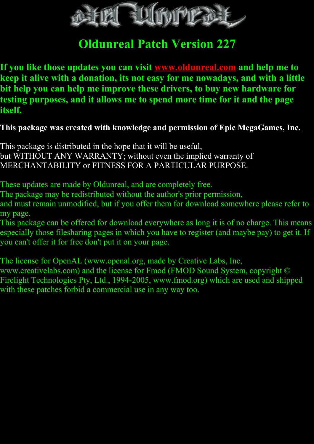

# **Oldunreal Patch Version 227**

**If you like those updates you can visit [www.oldunreal.com](http://www.oldunreal.com/) and help me to keep it alive with a donation, its not easy for me nowadays, and with a little bit help you can help me improve these drivers, to buy new hardware for testing purposes, and it allows me to spend more time for it and the page itself.**

# **This package was created with knowledge and permission of Epic MegaGames, Inc.**

This package is distributed in the hope that it will be useful, but WITHOUT ANY WARRANTY; without even the implied warranty of MERCHANTABILITY or FITNESS FOR A PARTICULAR PURPOSE.

These updates are made by Oldunreal, and are completely free.

The package may be redistributed without the author's prior permission,

and must remain unmodified, but if you offer them for download somewhere please refer to my page.

This package can be offered for download everywhere as long it is of no charge. This means especially those filesharing pages in which you have to register (and maybe pay) to get it. If you can't offer it for free don't put it on your page.

The license for OpenAL (www.openal.org, made by Creative Labs, Inc, www.creativelabs.com) and the license for Fmod (FMOD Sound System, copyright © Firelight Technologies Pty, Ltd., 1994-2005, www.fmod.org) which are used and shipped with these patches forbid a commercial use in any way too.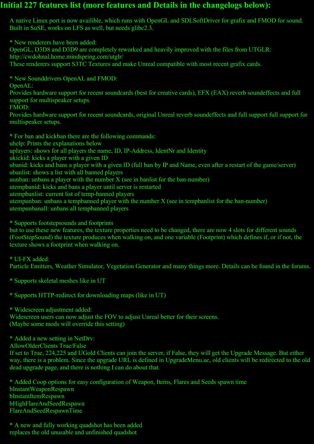## **Initial 227 features list (more features and Details in the changelogs below):**

A native Linux port is now availible, which runs with OpenGL and SDLSoftDriver for grafix and FMOD for sound. Built in SuSE, works on LFS as well, but needs glibc2.3.

\* New renderers have been added:

OpenGL, D3D8 and D3D9 are completely reworked and heavily improved with the files from UTGLR:

http://cwdohnal.home.mindspring.com/utglr/

These renderers support S3TC Textures and make Unreal compatible with most recent grafix cards.

\* New Sounddrivers OpenAL and FMOD:

OpenAL:

Provides hardware support for recent soundcards (best for creative cards), EFX (EAX) reverb soundeffects and full support for multispeaker setups.

FMOD:

Provides hardware support for recent soundcards, original Unreal reverb soundeffects and full support full support for multispeaker setups.

\* For ban and kickban there are the following commands: uhelp: Prints the explanations below uplayers: shows for all players the name, ID, IP-Address, IdentNr and Identity ukickid: kicks a player with a given ID ubanid: kicks and bans a player with a given ID (full ban by IP and Name, even after a restart of the game/server) ubanlist: shows a list with all banned players uunban: unbans a player with the number X (see in banlist for the ban-number) utempbanid: kicks and bans a player until server is restarted utempbanlist: current list of temp-banned players utempunban: unbans a tempbanned player with the number X (see in tempbanlist for the ban-number) utempunbanall: unbans all tempbanned players

\* Supports footstepsounds and footprints

but to use these new features, the texture properties need to be changed, there are now 4 slots for different sounds (FootStepSound) the texture produces when walking on, and one variable (Footprint) which defines if, or if not, the texture shows a footprint when walking on.

## \* UI-FX added:

Particle Emitters, Weather Simulator, Vegetation Generator and many things more. Details can be found in the forums.

\* Supports skeletal meshes like in UT

\* Supports HTTP-redirect for downloading maps (like in UT)

\* Widescreen adjustment added:

Widescreen users can now adjust the FOV to adjust Unreal better for their screens. (Maybe some mods will override this setting)

\* Added a new setting in NetDrv:

AllowOlderClients True/False

If set to True, 224,225 and UGold Clients can join the server, if False, they will get the Upgrade Message. But either way, there is a problem. Since the upgrade URL is defined in UpgradeMenu.uc, old clients will be redirected to the old dead upgrade page, and there is nothing I can do about that.

\* Added Coop options for easy configuration of Weapon, Items, Flares and Seeds spawn time bInstantWeaponRespawn bInstantItemRespawn bHighFlareAndSeedRespawn FlareAndSeedRespawnTime

\* A new and fully working quadshot has been added replaces the old unusable and unfinished quadshot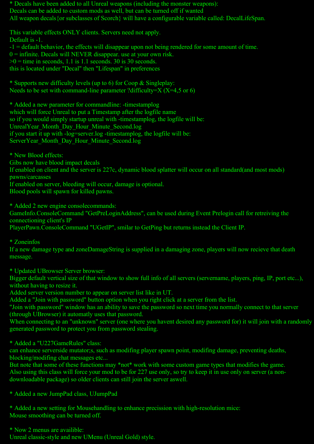\* Decals have been added to all Unreal weapons (including the monster weapons): Decals can be added to custom mods as well, but can be turned off if wanted All weapon decals {or subclasses of Scorch} will have a configurable variable called: DecalLifeSpan.

This variable effects ONLY clients. Servers need not apply. Default is -1. -1 = default behavior, the effects will disappear upon not being rendered for some amount of time.  $0 =$  infinite. Decals will NEVER disappear. use at your own risk.  $>0$  = time in seconds, 1.1 is 1.1 seconds. 30 is 30 seconds. this is located under "Decal" then "Lifespan" in preferences

\* Supports new difficulty levels (up to 6) for Coop & Singleplay: Needs to be set with command-line parameter ?difficulty= $X (X=4, 5 \text{ or } 6)$ 

\* Added a new parameter for commandline: -timestamplog which will force Unreal to put a Timestamp after the logfile name so if you would simply startup unreal with -timestamplog, the logfile will be: UnrealYear\_Month\_Day\_Hour\_Minute\_Second.log if you start it up with -log=server.log -timestamplog, the logfile will be: ServerYear Month Day Hour Minute Second.log

\* New Blood effects:

Gibs now have blood impact decals

If enabled on client and the server is 227c, dynamic blood splatter will occur on all standard(and most mods) pawns/carcasses

If enabled on server, bleeding will occur, damage is optional.

Blood pools will spawn for killed pawns.

\* Added 2 new engine consolecommands:

GameInfo.ConsoleCommand "GetPreLoginAddress", can be used during Event Prelogin call for retreiving the connectioning client's IP

PlayerPawn.ConsoleCommand "UGetIP", smilar to GetPing but returns instead the Client IP.

\* Zoneinfos

If a new damage type and zoneDamageString is supplied in a damaging zone, players will now recieve that death message.

\* Updated UBrowser Server browser:

Bigger default vertical size of that window to show full info of all servers (servername, players, ping, IP, port etc...), without having to resize it.

Added server version number to appear on server list like in UT.

Added a "Join with password" button option when you right click at a server from the list.

"Join with password" window has an ability to save the password so next time you normally connect to that server (through UBrowser) it automatly uses that password.

When connecting to an "unknown" server (one where you havent desired any password for) it will join with a randomly generated password to protect you from password stealing.

\* Added a "U227GameRules" class:

can enhance serverside mutator;s, such as modifing player spawn point, modifing damage, preventing deaths, blocking/modifing chat messages etc...

But note that some of these functions may \*not\* work with some custom game types that modifies the game. Also using this class will force your mod to be for 227 use only, so try to keep it in use only on server (a nondownloadable package) so older clients can still join the server aswell.

\* Added a new JumpPad class, UJumpPad

\* Added a new setting for Mousehandling to enhance precission with high-resolution mice: Mouse smoothing can be turned off.

\* Now 2 menus are availible:

Unreal classic-style and new UMenu (Unreal Gold) style.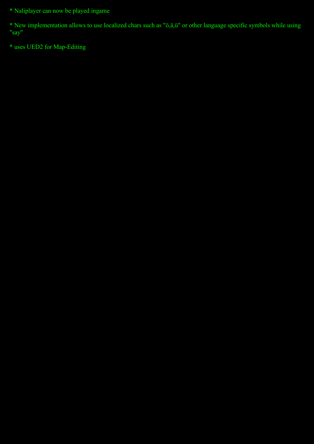\* Naliplayer can now be played ingame

\* New implementation allows to use localized chars such as "ö,ä,ü" or other language specific symbols while using "say"

\* uses UED2 for Map-Editing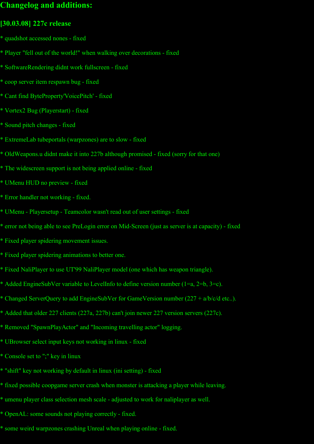# **Changelog and additions:**

## **[30.03.08] 227c release**

- \* quadshot accessed nones fixed
- \* Player "fell out of the world!" when walking over decorations fixed
- \* SoftwareRendering didnt work fullscreen fixed
- \* coop server item respawn bug fixed
- \* Cant find ByteProperty'VoicePitch' fixed
- \* Vortex2 Bug (Playerstart) fixed
- \* Sound pitch changes fixed
- \* ExtremeLab tubeportals (warpzones) are to slow fixed
- \* OldWeapons.u didnt make it into 227b although promised fixed (sorry for that one)
- \* The widescreen support is not being applied online fixed
- \* UMenu HUD no preview fixed
- \* Error handler not working fixed.
- \* UMenu Playersetup Teamcolor wasn't read out of user settings fixed
- \* error not being able to see PreLogin error on Mid-Screen (just as server is at capacity) fixed
- \* Fixed player spidering movement issues.
- \* Fixed player spidering animations to better one.
- \* Fixed NaliPlayer to use UT'99 NaliPlayer model (one which has weapon triangle).
- \* Added EngineSubVer variable to LevelInfo to define version number (1=a, 2=b, 3=c).
- \* Changed ServerQuery to add EngineSubVer for GameVersion number (227 + a/b/c/d etc..).
- \* Added that older 227 clients (227a, 227b) can't join newer 227 version servers (227c).
- \* Removed "SpawnPlayActor" and "Incoming travelling actor" logging.
- \* UBrowser select input keys not working in linux fixed
- \* Console set to ";" key in linux
- \* "shift" key not working by default in linux (ini setting) fixed
- \* fixed possible coopgame server crash when monster is attacking a player while leaving.
- \* umenu player class selection mesh scale adjusted to work for naliplayer as well.
- \* OpenAL: some sounds not playing correctly fixed.
- \* some weird warpzones crashing Unreal when playing online fixed.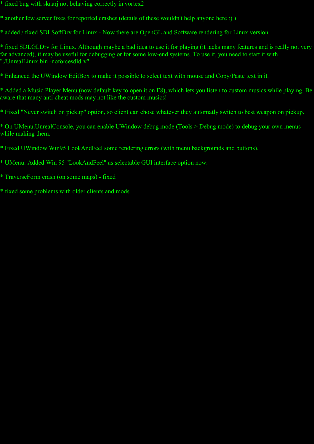- \* fixed bug with skaarj not behaving correctly in vortex2
- \* another few server fixes for reported crashes (details of these wouldn't help anyone here :) )
- \* added / fixed SDLSoftDrv for Linux Now there are OpenGL and Software rendering for Linux version.

\* fixed SDLGLDrv for Linux. Although maybe a bad idea to use it for playing (it lacks many features and is really not very far advanced), it may be useful for debugging or for some low-end systems. To use it, you need to start it with "./UnrealLinux.bin -noforcesdldrv"

\* Enhanced the UWindow EditBox to make it possible to select text with mouse and Copy/Paste text in it.

\* Added a Music Player Menu (now default key to open it on F8), which lets you listen to custom musics while playing. Be aware that many anti-cheat mods may not like the custom musics!

\* Fixed "Never switch on pickup" option, so client can chose whatever they automatly switch to best weapon on pickup.

\* On UMenu.UnrealConsole, you can enable UWindow debug mode (Tools > Debug mode) to debug your own menus while making them.

\* Fixed UWindow Win95 LookAndFeel some rendering errors (with menu backgrounds and buttons).

\* UMenu: Added Win 95 "LookAndFeel" as selectable GUI interface option now.

- \* TraverseForm crash (on some maps) fixed
- \* fixed some problems with older clients and mods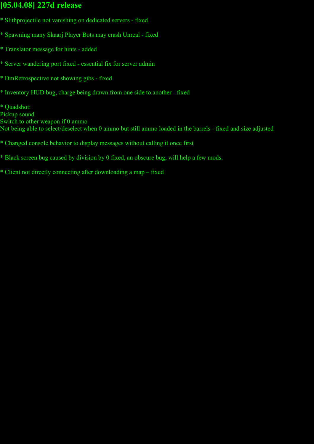# **[05.04.08] 227d release**

- \* Slithprojectile not vanishing on dedicated servers fixed
- \* Spawning many Skaarj Player Bots may crash Unreal fixed
- \* Translator message for hints added
- \* Server wandering port fixed essential fix for server admin
- \* DmRetrospective not showing gibs fixed
- \* Inventory HUD bug, charge being drawn from one side to another fixed

\* Quadshot: Pickup sound Switch to other weapon if 0 ammo Not being able to select/deselect when 0 ammo but still ammo loaded in the barrels - fixed and size adjusted

- \* Changed console behavior to display messages without calling it once first
- \* Black screen bug caused by division by 0 fixed, an obscure bug, will help a few mods.
- \* Client not directly connecting after downloading a map fixed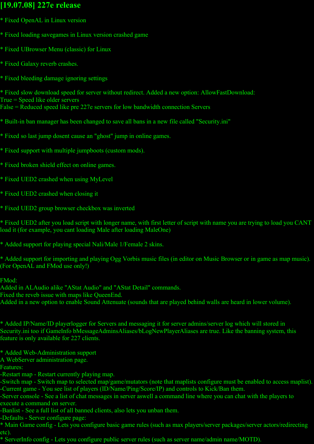# **[19.07.08] 227e release**

- \* Fixed OpenAL in Linux version
- \* Fixed loading savegames in Linux version crashed game
- \* Fixed UBrowser Menu (classic) for Linux
- \* Fixed Galaxy reverb crashes.
- \* Fixed bleeding damage ignoring settings

\* Fixed slow download speed for server without redirect. Added a new option: AllowFastDownload: True = Speed like older servers False = Reduced speed like pre 227e servers for low bandwidth connection Servers

- \* Built-in ban manager has been changed to save all bans in a new file called "Security.ini"
- \* Fixed so last jump dosent cause an "ghost" jump in online games.
- \* Fixed support with multiple jumpboots (custom mods).
- \* Fixed broken shield effect on online games.
- \* Fixed UED2 crashed when using MyLevel
- \* Fixed UED2 crashed when closing it
- \* Fixed UED2 group browser checkbox was inverted

\* Fixed UED2 after you load script with longer name, with first letter of script with name you are trying to load you CANT load it (for example, you cant loading Male after loading MaleOne)

\* Added support for playing special Nali/Male 1/Female 2 skins.

\* Added support for importing and playing Ogg Vorbis music files (in editor on Music Browser or in game as map music). (For OpenAL and FMod use only!)

FMod:

- Added in ALAudio alike "AStat Audio" and "AStat Detail" commands.
- Fixed the reveb issue with maps like QueenEnd.
- Added in a new option to enable Sound Attenuate (sounds that are played behind walls are heard in lower volume).

\* Added IP/Name/ID playerlogger for Servers and messaging it for server admins/server log which will stored in Security.ini too if GameInfo bMessageAdminsAliases/bLogNewPlayerAliases are true. Like the banning system, this feature is only available for 227 clients.

- \* Added Web-Administration support
- A WebServer administration page.
- Features:
- -Restart map Restart currently playing map.

-Switch map - Switch map to selected map/game/mutators (note that maplists configure must be enabled to access maplist). -Current game - You see list of players (ID/Name/Ping/Score/IP) and controls to Kick/Ban them.

-Server console - See a list of chat messages in server aswell a command line where you can chat with the players to execute a command on server.

-Banlist - See a full list of all banned clients, also lets you unban them.

-Defaults - Server configure page:

\* Main Game config - Lets you configure basic game rules (such as max players/server packages/server actors/redirecting etc).

\* ServerInfo config - Lets you configure public server rules (such as server name/admin name/MOTD).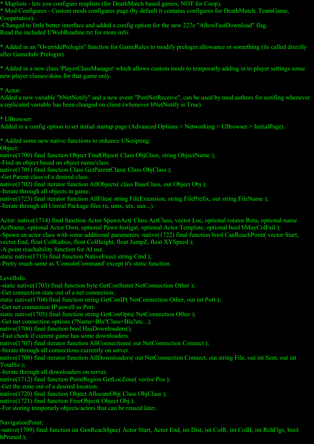\* Maplists - lets you configure maplists (for DeathMatch based games, NOT for Coop).

\* Mod Configures - Custom mods configures page (by default it contains configures for DeathMatch, TeamGame, Cooperative).

-Changed to little better interface and added a config option for the new 227e "AllowFastDownload" flag. Read the included UWebReadme.txt for more info.

\* Added in an "OverridePrelogin" function for GameRules to modify prelogin allowance or something (its called directly after GameInfo Prelogin).

\* Added in a new class 'PlayerClassManager' which allows custom mods to temporarly adding in to player settings some new player classes/skins for that game only.

\* Actor:

Added a new variable "bNetNotify" and a new event "PostNetReceive", can be used by mod authors for notifing whenever a replicated variable has been changed on client (whenever bNetNotify is True).

\* UBrowser:

Added in a config option to set initial startup page (Advanced Options > Networking > UBrowser > InitialPage).

\* Added some new native functions to enhance UScripting:

Object:

native(1700) final function Object FindObject( Class ObjClass, string ObjectName );

-Find an object based on object name/class.

native(1701) final function Class GetParentClass( Class ObjClass);

-Get Parent class of a desired class.

native(1702) final iterator function AllObjects( class BaseClass, out Object Obj);

-Iterate through all objects in game.

native(1723) final iterator function AllFiles( string FileExtension, string FilePrefix, out string FileName);

-Iterate through all Unreal Package files (u, umx, utx, uax...).

Actor: native(1714) final function Actor SpawnAct( Class ActClass, vector Loc, optional rotator Rota, optional name ActName, optional Actor Own, optional Pawn Instigat, optional Actor Template, optional bool bMayColFail );

-Spawn an actor class with some additional parameters. native(1722) final function bool CanReachPoint( vector Start, vector End, float ColRadius, float ColHeight, float JumpZ, float XYSpeed );

-A point reachability function for AI use.

static native(1713) final function NativeExec( string Cmd);

-Pretty much same as 'ConsoleCommand' except it's static function.

LevelInfo:

-static native(1703) final function byte GetConState( NetConnection Other );

-Get connection state out of a net connection.

static native(1704) final function string GetConIP( NetConnection Other, out int Port );

-Get net connection IP aswell as Port.

static native(1705) final function string GetConOpts( NetConnection Other);

-Get net connection options (?Name=Bla?Class=Bla?etc...).

native(1706) final function bool HasDownloaders();

-Fast check if current game has some downloaders.

native(1707) final iterator function AllConnections( out NetConnection Connect);

-Iterate through all connections currently on server.

native(1708) final iterator function AllDownloaders( out NetConnection Connect, out string File, out int Sent, out int TotalSz );

-Iterate through all downloaders on server.

native(1712) final function PointRegion GetLocZone( vector Pos );

-Get the zone out of a desired location.

native(1720) final function Object AllocateObj( Class ObjClass );

native(1721) final function FreeObject( Object Obj);

-For storing temporarly objects/actors that can be reused later.

NavigationPoint:

-native(1709) final function int GenReachSpec( Actor Start, Actor End, int Dist, int ColR, int ColH, int RchFlgs, bool bPruned );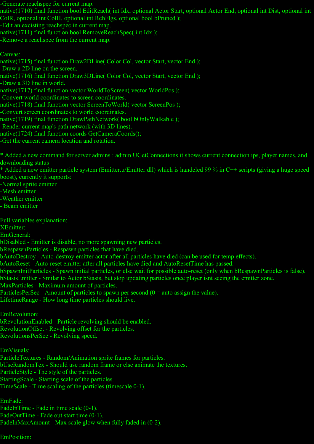-Generate reachspec for current map.

native(1710) final function bool EditReach( int Idx, optional Actor Start, optional Actor End, optional int Dist, optional int ColR, optional int ColH, optional int RchFlgs, optional bool bPruned );

-Edit an excisting reachspec in current map.

native(1711) final function bool RemoveReachSpec( int Idx );

-Remove a reachspec from the current map.

#### Canvas:

native(1715) final function Draw2DLine( Color Col, vector Start, vector End);

-Draw a 2D line on the screen.

native(1716) final function Draw3DLine( Color Col, vector Start, vector End );

-Draw a 3D line in world.

native(1717) final function vector WorldToScreen( vector WorldPos);

-Convert world coordinates to screen coordinates.

native(1718) final function vector ScreenToWorld( vector ScreenPos);

-Convert screen coordinates to world coordinates.

native(1719) final function DrawPathNetwork( bool bOnlyWalkable );

-Render current map's path network (with 3D lines).

native(1724) final function coords GetCameraCoords();

-Get the current camera location and rotation.

\* Added a new command for server admins : admin UGetConnections it shows current connection ips, player names, and downloading status

\* Added a new emitter particle system (Emitter.u/Emitter.dll) which is handeled 99 % in C++ scripts (giving a huge speed boost), currently it supports:

-Normal sprite emitter

-Mesh emitter

-Weather emitter

- Beam emitter

Full variables explanation:

XEmitter:

EmGeneral:

bDisabled - Emitter is disable, no more spawning new particles.

bRespawnParticles - Respawn particles that have died.

bAutoDestroy - Auto-destroy emitter actor after all particles have died (can be used for temp effects).

bAutoReset - Auto-reset emitter after all particles have died and AutoResetTime has passed.

bSpawnInitParticles - Spawn initial particles, or else wait for possible auto-reset (only when bRespawnParticles is false).

bStasisEmitter - Smilar to Actor bStasis, but stop updating particles once player isnt seeing the emitter zone.

MaxParticles - Maximum amount of particles.

ParticlesPerSec - Amount of particles to spawn per second (0 = auto assign the value).

LifetimeRange - How long time particles should live.

EmRevolution:

bRevolutionEnabled - Particle revolving should be enabled.

RevolutionOffset - Revolving offset for the particles.

RevolutionsPerSec - Revolving speed.

EmVisuals:

ParticleTextures - Random/Animation sprite frames for particles.

bUseRandomTex - Should use random frame or else animate the textures.

ParticleStyle - The style of the particles.

StartingScale - Starting scale of the particles.

TimeScale - Time scaling of the particles (timescale 0-1).

EmFade: FadeInTime - Fade in time scale (0-1). FadeOutTime - Fade out start time (0-1).

FadeInMaxAmount - Max scale glow when fully faded in  $(0-2)$ .

EmPosition: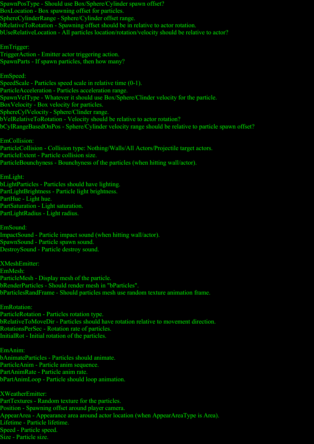SpawnPosType - Should use Box/Sphere/Cylinder spawn offset? BoxLocation - Box spawning offset for particles. SphereCylinderRange - Sphere/Cylinder offset range. bRelativeToRotation - Spawning offset should be in relative to actor rotation. bUseRelativeLocation - All particles location/rotation/velocity should be relative to actor? EmTrigger: TriggerAction - Emitter actor triggering action. SpawnParts - If spawn particles, then how many? EmSpeed:

SpeedScale - Particles speed scale in relative time (0-1). ParticleAcceleration - Particles acceleration range. SpawnVelType - Whatever it should use Box/Sphere/Clinder velocity for the particle. BoxVelocity - Box velocity for particles. SphereCylVelocity - Sphere/Clinder range. bVelRelativeToRotation - Velocity should be relative to actor rotation? bCylRangeBasedOnPos - Sphere/Cylinder velocity range should be relative to particle spawn offset?

EmCollision: ParticleCollision - Collision type: Nothing/Walls/All Actors/Projectile target actors. ParticleExtent - Particle collision size. ParticleBounchyness - Bounchyness of the particles (when hitting wall/actor).

EmLight: bLightParticles - Particles should have lighting. PartLightBrightness - Particle light brightness. PartHue - Light hue. PartSaturation - Light saturation. PartLightRadius - Light radius.

EmSound: ImpactSound - Particle impact sound (when hitting wall/actor). SpawnSound - Particle spawn sound. DestroySound - Particle destroy sound.

XMeshEmitter: EmMesh: ParticleMesh - Display mesh of the particle. bRenderParticles - Should render mesh in "bParticles". bParticlesRandFrame - Should particles mesh use random texture animation frame.

EmRotation: ParticleRotation - Particles rotation type. bRelativeToMoveDir - Particles should have rotation relative to movement direction. RotationsPerSec - Rotation rate of particles. InitialRot - Initial rotation of the particles.

EmAnim: bAnimateParticles - Particles should animate. ParticleAnim - Particle anim sequence. PartAnimRate - Particle anim rate. bPartAnimLoop - Particle should loop animation.

XWeatherEmitter: PartTextures - Random texture for the particles. Position - Spawning offset around player camera. AppearArea - Appearance area around actor location (when AppearAreaType is Area). Lifetime - Particle lifetime. Speed - Particle speed. Size - Particle size.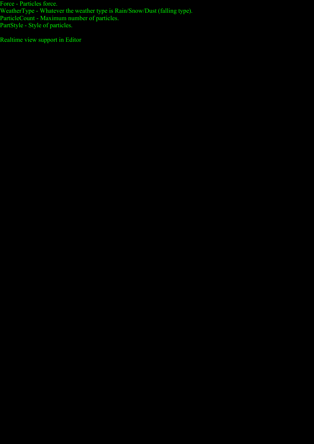Force - Particles force. WeatherType - Whatever the weather type is Rain/Snow/Dust (falling type). ParticleCount - Maximum number of particles. PartStyle - Style of particles.

Realtime view support in Editor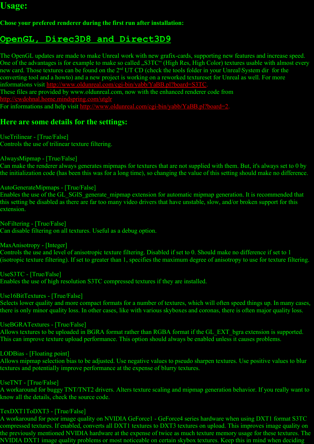# **Usage:**

## **Chose your prefered renderer during the first run after installation:**

# **OpenGL, Direc3D8 and Direct3D9**

The OpenGL updates are made to make Unreal work with new grafix-cards, supporting new features and increase speed. One of the advantages is for example to make so called . S3TC" (High Res, High Color) textures usable with almost every new card. Those textures can be found on the 2<sup>nd</sup> UT CD (check the tools folder in your Unreal\System dir for the converting tool and a howto) and a new project is working on a reworked textureset for Unreal as well. For more informations visit [http://www.oldunreal.com/cgi-bin/yabb/YaBB.pl?board=S3TC.](http://www.oldunreal.com/cgi-bin/yabb/YaBB.pl?board=S3TC)

These files are provided by www.oldunreal.com, now with the enhanced renderer code from http://cwdohnal.home.mindspring.com/utgl

For informations and help visit [http://www.oldunreal.com/cgi-bin/yabb/YaBB.pl?board=2.](http://www.oldunreal.com/cgi-bin/yabb/YaBB.pl?board=2)

## **Here are some details for the settings:**

UseTrilinear - [True/False] Controls the use of trilinear texture filtering.

AlwaysMipmap - [True/False]

Can make the renderer always generates mipmaps for textures that are not supplied with them. But, it's always set to 0 by the initialization code (has been this was for a long time), so changing the value of this setting should make no difference.

## AutoGenerateMipmaps - [True/False]

Enables the use of the GL\_SGIS\_generate\_mipmap extension for automatic mipmap generation. It is recommended that this setting be disabled as there are far too many video drivers that have unstable, slow, and/or broken support for this extension.

NoFiltering - [True/False] Can disable filtering on all textures. Useful as a debug option.

MaxAnisotropy - [Integer]

Controls the use and level of anisotropic texture filtering. Disabled if set to 0. Should make no difference if set to 1 (isotropic texture filtering). If set to greater than 1, specifies the maximum degree of anisotropy to use for texture filtering.

UseS3TC - [True/False] Enables the use of high resolution S3TC compressed textures if they are installed.

Use16BitTextures - [True/False]

Selects lower quality and more compact formats for a number of textures, which will often speed things up. In many cases, there is only minor quality loss. In other cases, like with various skyboxes and coronas, there is often major quality loss.

UseBGRATextures - [True/False]

Allows textures to be uploaded in BGRA format rather than RGBA format if the GL\_EXT\_bgra extension is supported. This can improve texture upload performance. This option should always be enabled unless it causes problems.

LODBias - [Floating point]

Allows mipmap selection bias to be adjusted. Use negative values to pseudo sharpen textures. Use positive values to blur textures and potentially improve performance at the expense of blurry textures.

UseTNT - [True/False]

A workaround for buggy TNT/TNT2 drivers. Alters texture scaling and mipmap generation behavior. If you really want to know all the details, check the source code.

## TexDXT1ToDXT3 - [True/False]

A workaround for poor image quality on NVIDIA GeForce1 - GeForce4 series hardware when using DXT1 format S3TC compressed textures. If enabled, converts all DXT1 textures to DXT3 textures on upload. This improves image quality on the previously mentioned NVIDIA hardware at the expense of twice as much texture memory usage for these textures. The NVIDIA DXT1 image quality problems or most noticeable on certain skybox textures. Keep this in mind when deciding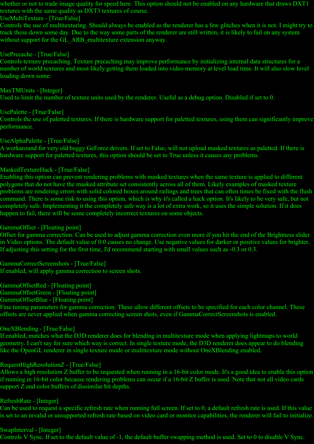whether or not to trade image quality for speed here. This option should not be enabled on any hardware that draws DXT1 textures with the same quality as DXT3 textures of course.

## UseMultiTexture - [True/False]

Controls the use of multitexturing. Should always be enabled as the renderer has a few glitches when it is not. I might try to track these down some day. Due to the way some parts of the renderer are still written, it is likely to fail on any system without support for the GL\_ARB\_multitexture extension anyway.

## UsePrecache - [True/False]

Controls texture precaching. Texture precaching may improve performance by initializing internal data structures for a number of world textures and most likely getting them loaded into video memory at level load time. It will also slow level loading down some.

#### MaxTMUnits - [Integer]

Used to limit the number of texture units used by the renderer. Useful as a debug option. Disabled if set to 0.

#### UsePalette - [True/False]

Controls the use of paletted textures. If there is hardware support for paletted textures, using them can significantly improve performance.

#### UseAlphaPalette - [True/False]

A workaround for very old buggy GeForce drivers. If set to False, will not upload masked textures as paletted. If there is hardware support for paletted textures, this option should be set to True unless it causes any problems.

#### MaskedTextureHack - [True/False]

Enabling this option can prevent rendering problems with masked textures when the same texture is applied to different polygons that do not have the masked attribute set consistently across all of them. Likely examples of masked texture problems are rendering errors with solid colored boxes around railings and trees that can often times be fixed with the flush command. There is some risk to using this option, which is why it's called a hack option. It's likely to be very safe, but not completely safe. Implementing it the completely safe way is a lot of extra work, so it uses the simple solution. If it does happen to fail, there will be some completely incorrect textures on some objects.

#### GammaOffset - [Floating point]

Offset for gamma correction. Can be used to adjust gamma correction even more if you hit the end of the Brightness slider in Video options. The default value of 0.0 causes no change. Use negative values for darker or positive values for brighter. If adjusting this setting for the first time, I'd recommend starting with small values such as -0.3 or 0.3.

## GammaCorrectScreenshots - [True/False]

If enabled, will apply gamma correction to screen shots.

## GammaOffsetRed - [Floating point]

GammaOffsetGreen - [Floating point]

#### GammaOffsetBlue - [Floating point]

Fine tuning parameters for gamma correction. These allow different offsets to be specified for each color channel. These offsets are never applied when gamma correcting screen shots, even if GammaCorrectScreenshots is enabled.

## OneXBlending - [True/False]

If enabled, matches what the D3D renderer does for blending in multitexture mode when applying lightmaps to world geometry. I can't say for sure which way is correct. In single texture mode, the D3D renderer does appear to do blending like the OpenGL renderer in single texture mode or multitexture mode without OneXBlending enabled.

## RequestHighResolutionZ - [True/False]

Allows a high resolution Z buffer to be requested when running in a 16-bit color mode. It's a good idea to enable this option if running in 16-bit color because rendering problems can occur if a 16-bit Z buffer is used. Note that not all video cards support Z and color buffers of dissimilar bit depths.

## RefreshRate - [Integer]

Can be used to request a specific refresh rate when running full screen. If set to 0, a default refresh rate is used. If this value is set to an invalid or unsupported refresh rate based on video card or monitor capabilities, the renderer will fail to initialize.

## SwapInterval - [Integer]

Controls V Sync. If set to the default value of -1, the default buffer swapping method is used. Set to 0 to disable V Sync.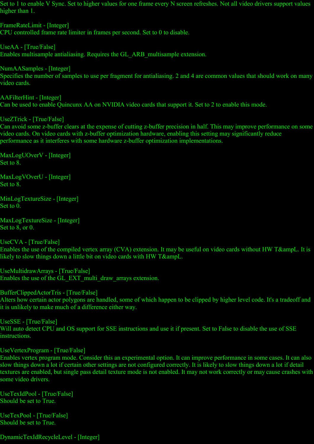Set to 1 to enable V Sync. Set to higher values for one frame every N screen refreshes. Not all video drivers support values higher than 1.

FrameRateLimit - [Integer] CPU controlled frame rate limiter in frames per second. Set to 0 to disable.

UseAA - [True/False] Enables multisample antialiasing. Requires the GL\_ARB\_multisample extension.

NumAASamples - [Integer] Specifies the number of samples to use per fragment for antialiasing. 2 and 4 are common values that should work on many video cards.

AAFilterHint - [Integer] Can be used to enable Quincunx AA on NVIDIA video cards that support it. Set to 2 to enable this mode.

UseZTrick - [True/False]

Can avoid some z-buffer clears at the expense of cutting z-buffer precision in half. This may improve performance on some video cards. On video cards with z-buffer optimization hardware, enabling this setting may significantly reduce performance as it interferes with some hardware z-buffer optimization implementations.

MaxLogUOverV - [Integer] Set to 8.

MaxLogVOverU - [Integer] Set to 8.

MinLogTextureSize - [Integer] Set to 0.

MaxLogTextureSize - [Integer] Set to 8, or 0.

UseCVA - [True/False] Enables the use of the compiled vertex array (CVA) extension. It may be useful on video cards without HW T&ampL. It is likely to slow things down a little bit on video cards with HW T&ampL.

UseMultidrawArrays - [True/False] Enables the use of the GL\_EXT\_multi\_draw\_arrays extension.

BufferClippedActorTris - [True/False] Alters how certain actor polygons are handled, some of which happen to be clipped by higher level code. It's a tradeoff and it is unlikely to make much of a difference either way.

UseSSE - [True/False] Will auto detect CPU and OS support for SSE instructions and use it if present. Set to False to disable the use of SSE instructions.

UseVertexProgram - [True/False]

Enables vertex program mode. Consider this an experimental option. It can improve performance in some cases. It can also slow things down a lot if certain other settings are not configured correctly. It is likely to slow things down a lot if detail textures are enabled, but single pass detail texture mode is not enabled. It may not work correctly or may cause crashes with some video drivers.

UseTexIdPool - [True/False] Should be set to True.

UseTexPool - [True/False] Should be set to True.

DynamicTexIdRecycleLevel - [Integer]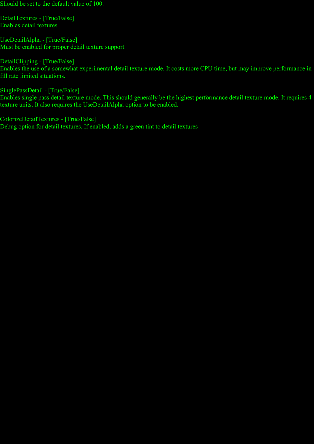Should be set to the default value of 100.

DetailTextures - [True/False] Enables detail textures.

UseDetailAlpha - [True/False] Must be enabled for proper detail texture support.

DetailClipping - [True/False] Enables the use of a somewhat experimental detail texture mode. It costs more CPU time, but may improve performance in fill rate limited situations.

SinglePassDetail - [True/False] Enables single pass detail texture mode. This should generally be the highest performance detail texture mode. It requires 4 texture units. It also requires the UseDetailAlpha option to be enabled.

ColorizeDetailTextures - [True/False] Debug option for detail textures. If enabled, adds a green tint to detail textures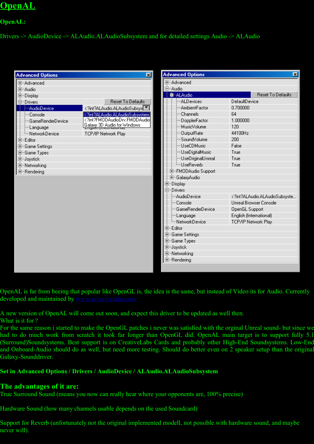# **OpenAL**

## **OpenAL:**

Drivers -> AudioDevice -> ALAudio.ALAudioSubsystem and for detailed settings Audio -> ALAudio

| <b>Advanced Options</b>                                                                                                                                                                                                                                                                              | x                                                                                                                                                                                 |  | <b>Advanced Options</b>                                                                                                                                                                                                                                                                                                                                                                                                                    | $\vert x \vert$                                                                                                                                                                            |
|------------------------------------------------------------------------------------------------------------------------------------------------------------------------------------------------------------------------------------------------------------------------------------------------------|-----------------------------------------------------------------------------------------------------------------------------------------------------------------------------------|--|--------------------------------------------------------------------------------------------------------------------------------------------------------------------------------------------------------------------------------------------------------------------------------------------------------------------------------------------------------------------------------------------------------------------------------------------|--------------------------------------------------------------------------------------------------------------------------------------------------------------------------------------------|
| 国…Advanced<br>回··· Audio<br>由-Display<br>白 <sup></sup> Drivers<br>-AudioDevice<br>∲~Console<br><sub>i</sub> '…GameRenderDevice<br><sub>:</sub> '…Language<br><b>Employer NetworkDevice</b><br>回··· E ditor<br>由 Game Settings<br>国··· Game Types<br>由 Joystick<br>国·Networking<br><b>E</b> Rendering | <b>Reset To Defaults</b><br>int?ALAudio.ALAudioSubsys<sup TH<br>int?ALAudio.ALAudioSubsystem.<br int?FMODAudioDrv.FMODAudio<br Galaxy 3D Audio for Windows<br>TCP/IP Network Play |  | 田…Advanced<br>□ <sup></sup> Audio<br><b>章…ALAudio</b><br>---ALDevices<br>----AmbientFactor<br>Channels<br>-DopplerFactor<br><sup>i</sup> ''' MusicVolume<br>DutputRate:<br><sup>i……</sup> SoundVolume<br><sup>i</sup> <sup></sup> ∐seCDMusic.<br>-- UseDigitalMusic<br>UseOriginalUnreal<br><sup>i</sup> UseReverb<br>E-FMODAudio Support<br>由…GalaxyAudio<br>由 Display<br>⊟ <sup></sup> Drivers<br><sup> </sup> ≔AudioDevice<br>i…Console | <b>Reset To Defaults</b><br>DefaultDevice<br>0.700000<br>64<br>1.000000<br>120<br>44100Hz<br>200<br>False<br>True<br>True<br>True<br>int?ALAudio.ALAudioSubsyste<br Unreal Browser Console |
|                                                                                                                                                                                                                                                                                                      |                                                                                                                                                                                   |  | <sup>i……</sup> GameRenderDevice<br>Language<br><sup>E</sup> -NetworkDevice<br>国···Editor<br>白 Game Settings<br>由 Game Types<br>由 Joystick<br>国·Networking<br>由···Rendering                                                                                                                                                                                                                                                                 | OpenGL Support<br>English (International)<br>TCP/IP Network Play                                                                                                                           |

OpenAL is far from beeing that popular like OpenGL is, the idea is the same, but instead of Video its for Audio. Currently developed and maintained by **[www.creativelabs.com](http://www.creativelabs.com/)**

A new version of OpenAL will come out soon, and expect this driver to be updated as well then.

What is it for ?

For the same reason i started to make the OpenGL patches i never was satisfied with the orginal Unreal sound- but since we had to do much work from scratch it took far longer than OpenGL did. OpenAL main target is to support fully 5.1 (Surround)Soundsystems. Best support is on CreativeLabs Cards and probably other High-End Soundsystems. Low-End and Onboard-Audio should do as well, but need more testing. Should do better even on 2 speaker setup than the original Galaxy-Sounddriver.

## **Set in Advanced Options / Drivers / AudioDevice / ALAudio.ALAudioSubsystem**

## **The advantages of it are:**

True Surround Sound (means you now can really hear where your opponents are, 100% precise)

Hardware Sound (how many channels usable depends on the used Soundcard)

Support for Reverb (unfortunately not the original implemented modell, not possible with hardware sound, and maybe never will).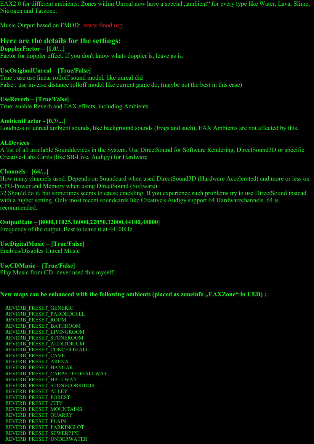EAX2.0 for different ambients: Zones within Unreal now have a special "ambient" for every type like Water, Lava, Slime, Nitrogen and Tarzone.

Music Output based on FMOD: [www.fmod.org](http://www.fmod.org/)

## **Here are the details for the settings:**

**DopplerFactor – [1.0/...]** Factor for doppler effect. If you don't know whats doppler is, leave as is.

## **UseOriginalUnreal – [True/False]**

True : use use linear rolloff sound model, like unreal did False : use inverse distance rolloff model like current game do, (maybe not the best in this case)

## **UseReverb – [True/False]**

True: enable Reverb and EAX effects, including Ambients

## **AmbientFactor - [0.7/...]**

Loudness of unreal ambient sounds, like background sounds (frogs and such), EAX Ambients are not affected by this.

## **ALDevices**

A list of all available Sounddevices in the System. Use DirectSound for Software Rendering, DirectSound3D or specific Creative-Labs Cards (like SB-Live, Audigy) for Hardware

## **Channels – [64/...]**

How many channels used. Depends on Soundcard when used DirectSound3D (Hardware Accelerated) and more or less on CPU-Power and Memory when using DirectSound (Software)

32 Should do it, but sometimes seems to cause crackling. If you experience such problems try to use DirectSound instead with a higher setting. Only most recent soundcards like Creative's Audigy support 64 Hardwarechannels. 64 is recommended.

## **OutputRate – [8000,11025,16000,22050,32000,44100,48000]**

Frequency of the output. Best to leave it at 44100Hz

## **UseDigitalMusic – [True/False]**

Enables/Disables Unreal Music

## **UseCDMusic – [True/False]**

Play Music from CD- never used this myself.

## New maps can be enhanced with the following ambients (placed as zoneinfo "EAXZone" in UED) :

 REVERB\_PRESET\_GENERIC REVERB\_PRESET\_PADDEDCELL REVERB\_PRESET\_ROOM REVERB\_PRESET\_BATHROOM REVERB\_PRESET\_LIVINGROOM REVERB\_PRESET\_STONEROOM REVERB\_PRESET\_AUDITORIUM REVERB\_PRESET\_CONCERTHALL REVERB\_PRESET\_CAVE REVERB\_PRESET\_ARENA REVERB\_PRESET\_HANGAR REVERB\_PRESET\_CARPETTEDHALLWAY REVERB\_PRESET\_HALLWAY REVERB\_PRESET\_STONECORRIDOR= REVERB\_PRESET\_ALLEY REVERB\_PRESET\_FOREST REVERB\_PRESET\_CITY REVERB\_PRESET\_MOUNTAINS REVERB\_PRESET\_QUARRY REVERB\_PRESET\_PLAIN REVERB\_PRESET\_PARKINGLOT REVERB\_PRESET\_SEWERPIPE REVERB\_PRESET\_UNDERWATER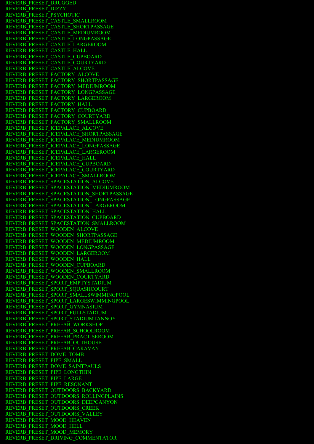REVERB\_PRESET\_DRUGGED REVERB\_PRESET\_DIZZY REVERB\_PRESET\_PSYCHOTIC REVERB\_PRESET\_CASTLE\_SMALLROOM REVERB\_PRESET\_CASTLE\_SHORTPASSAGE REVERB\_PRESET\_CASTLE\_MEDIUMROOM REVERB\_PRESET\_CASTLE\_LONGPASSAGE REVERB\_PRESET\_CASTLE\_LARGEROOM REVERB\_PRESET\_CASTLE\_HALL REVERB\_PRESET\_CASTLE\_CUPBOARD REVERB\_PRESET\_CASTLE\_COURTYARD REVERB\_PRESET\_CASTLE\_ALCOVE REVERB\_PRESET\_FACTORY\_ALCOVE REVERB\_PRESET\_FACTORY\_SHORTPASSAGE REVERB\_PRESET\_FACTORY\_MEDIUMROOM REVERB\_PRESET\_FACTORY\_LONGPASSAGE REVERB\_PRESET\_FACTORY\_LARGEROOM REVERB\_PRESET\_FACTORY\_HALL REVERB\_PRESET\_FACTORY\_CUPBOARD REVERB\_PRESET\_FACTORY\_COURTYARD REVERB\_PRESET\_FACTORY\_SMALLROOM REVERB\_PRESET\_ICEPALACE\_ALCOVE REVERB\_PRESET\_ICEPALACE\_SHORTPASSAGE REVERB\_PRESET\_ICEPALACE\_MEDIUMROOM REVERB\_PRESET\_ICEPALACE\_LONGPASSAGE REVERB\_PRESET\_ICEPALACE\_LARGEROOM REVERB\_PRESET\_ICEPALACE\_HALL REVERB\_PRESET\_ICEPALACE\_CUPBOARD REVERB\_PRESET\_ICEPALACE\_COURTYARD REVERB\_PRESET\_ICEPALACE\_SMALLROOM REVERB\_PRESET\_SPACESTATION\_ALCOVE REVERB\_PRESET\_SPACESTATION\_MEDIUMROOM REVERB\_PRESET\_SPACESTATION\_SHORTPASSAGE REVERB\_PRESET\_SPACESTATION\_LONGPASSAGE REVERB\_PRESET\_SPACESTATION\_LARGEROOM REVERB\_PRESET\_SPACESTATION\_HALL REVERB\_PRESET\_SPACESTATION\_CUPBOARD REVERB\_PRESET\_SPACESTATION\_SMALLROOM REVERB\_PRESET\_WOODEN\_ALCOVE REVERB\_PRESET\_WOODEN\_SHORTPASSAGE REVERB\_PRESET\_WOODEN\_MEDIUMROOM REVERB\_PRESET\_WOODEN\_LONGPASSAGE REVERB\_PRESET\_WOODEN\_LARGEROOM REVERB\_PRESET\_WOODEN\_HALL REVERB\_PRESET\_WOODEN\_CUPBOARD REVERB\_PRESET\_WOODEN\_SMALLROOM REVERB\_PRESET\_WOODEN\_COURTYARD REVERB\_PRESET\_SPORT\_EMPTYSTADIUM REVERB\_PRESET\_SPORT\_SOUASHCOURT REVERB\_PRESET\_SPORT\_SMALLSWIMMINGPOOL REVERB\_PRESET\_SPORT\_LARGESWIMMINGPOOL REVERB\_PRESET\_SPORT\_GYMNASIUM REVERB\_PRESET\_SPORT\_FULLSTADIUM REVERB\_PRESET\_SPORT\_STADIUMTANNOY REVERB\_PRESET\_PREFAB\_WORKSHOP REVERB\_PRESET\_PREFAB\_SCHOOLROOM REVERB\_PRESET\_PREFAB\_PRACTISEROOM REVERB\_PRESET\_PREFAB\_OUTHOUSE REVERB\_PRESET\_PREFAB\_CARAVAN REVERB\_PRESET\_DOME\_TOMB REVERB<sup>\_</sup>PRESET\_PIPE\_SMALL REVERB\_PRESET\_DOME\_SAINTPAULS REVERB\_PRESET\_PIPE\_LONGTHIN REVERB\_PRESET\_PIPE\_LARGE REVERB\_PRESET\_PIPE\_RESONANT REVERB\_PRESET\_OUTDOORS\_BACKYARD REVERB\_PRESET\_OUTDOORS\_ROLLINGPLAINS REVERB\_PRESET\_OUTDOORS\_DEEPCANYON REVERB\_PRESET\_OUTDOORS\_CREEK REVERB\_PRESET\_OUTDOORS\_VALLEY REVERB\_PRESET\_MOOD\_HEAVEN REVERB\_PRESET\_MOOD\_HELL REVERB\_PRESET\_MOOD\_MEMORY REVERB\_PRESET\_DRIVING\_COMMENTATOR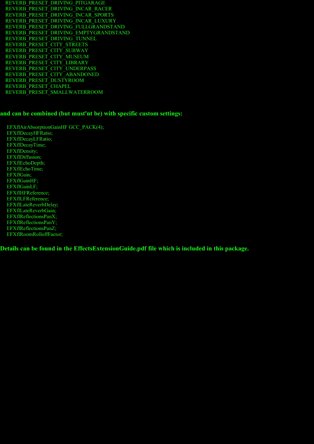REVERB\_PRESET\_DRIVING\_PITGARAGE REVERB\_PRESET\_DRIVING\_INCAR\_RACER REVERB\_PRESET\_DRIVING\_INCAR\_SPORTS REVERB\_PRESET\_DRIVING\_INCAR\_LUXURY REVERB\_PRESET\_DRIVING\_FULLGRANDSTAND REVERB\_PRESET\_DRIVING\_EMPTYGRANDSTAND REVERB\_PRESET\_DRIVING\_TUNNEL REVERB\_PRESET\_CITY\_STREETS REVERB\_PRESET\_CITY\_SUBWAY REVERB\_PRESET\_CITY\_MUSEUM REVERB\_PRESET\_CITY\_LIBRARY REVERB\_PRESET\_CITY\_UNDERPASS REVERB\_PRESET\_CITY\_ABANDONED REVERB\_PRESET\_DUSTYROOM REVERB\_PRESET\_CHAPEL REVERB\_PRESET\_SMALLWATERROOM

#### **and can be combined (but must'nt be) with specific custom settings:**

 EFXflAirAbsorptionGainHF GCC\_PACK(4); EFXflDecayHFRatio; EFXflDecayLFRatio; EFXflDecayTime; EFXflDensity; EFXflDiffusion; EFXflEchoDepth; EFXflEchoTime; EFXflGain; EFXflGainHF; EFXflGainLF; EFXflHFReference; EFXflLFReference; EFXflLateReverbDelay; EFXflLateReverbGain; EFXflReflectionsPanX; EFXflReflectionsPanY; EFXflReflectionsPanZ; EFXflRoomRolloffFactor;

**Details can be found in the EffectsExtensionGuide.pdf file which is included in this package.**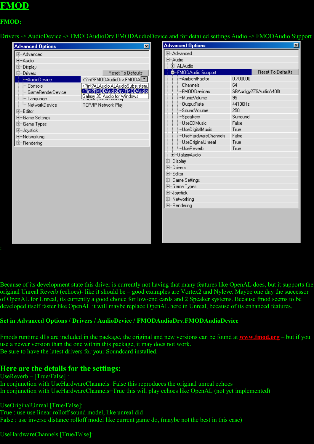# **FMOD**

## **FMOD:**

Drivers -> AudioDevice -> FMODAudioDrv.FMODAudioDevice and for detailed settings Audio -> FMODAudio Support

| <b>Advanced Options</b>                                                                                                                                                                                                                                                                     | ⊠                                                                                                                                                                       | <b>Advanced Options</b>                                                                                                                                                                                                                                                                                                                                                                                                                                                                                   |                                                                                              | 図                                          |
|---------------------------------------------------------------------------------------------------------------------------------------------------------------------------------------------------------------------------------------------------------------------------------------------|-------------------------------------------------------------------------------------------------------------------------------------------------------------------------|-----------------------------------------------------------------------------------------------------------------------------------------------------------------------------------------------------------------------------------------------------------------------------------------------------------------------------------------------------------------------------------------------------------------------------------------------------------------------------------------------------------|----------------------------------------------------------------------------------------------|--------------------------------------------|
| 田…Advanced<br>回··Audio<br>国·Display<br>白 <sup></sup> Drivers<br>-AudioDevice<br>i…Consolel<br><sub>i</sub> '…GameRenderDevice<br><sub>i</sub> '…Language<br><b>Em</b> NetworkDevice<br>画…Editor<br>白 Game Settings<br>画··Game Types<br>由 Joystick<br>国··· Networking<br><b>E</b> -Rendering | <b>Reset To Defaults</b><br>int?FMODAudioDrv.FMODA<br int?ALAudio.ALAudioSubsystem.<br int?FMODAudioDrv.FMODAudio<br Galaxy 3D Audio for Windows<br>TCP/IP Network Play | 田…Advanced<br>白 <sup></sup> Audio<br><b>E</b> -ALAudio<br><b>E</b> -FMODAudio Support<br>---AmbientFactor<br>i—Channels<br>i—FMODDevices<br><sup> </sup> ··· MusicVolume<br>DutputRate<br>……SoundVolume<br>-Speakers<br><sup>i</sup> <sup></sup> UseCDMusic<br>-- UseDigitalMusic<br>UseHardwareChannels<br>UseOriginalUnreal<br><sup>i</sup> UseReverb<br>由…GalaxyAudio<br>国·Display<br>国·Drivers<br>回…Editor<br>由…Game Settings<br>国··· Game Types<br>由 Joystick<br>回 Networking<br><b>E</b> -Rendering | 0.700000<br>64<br>95<br>44100Hz<br>250<br>Surround<br>False<br>True<br>False<br>True<br>True | Reset To Defaults<br>SBAudigy2ZSAudioA400t |
|                                                                                                                                                                                                                                                                                             |                                                                                                                                                                         |                                                                                                                                                                                                                                                                                                                                                                                                                                                                                                           |                                                                                              |                                            |

Because of its development state this driver is currently not having that many features like OpenAL does, but it supports the original Unreal Reverb (echoes)- like it should be – good examples are Vortex2 and Nyleve. Maybe one day the successor of OpenAL for Unreal, its currently a good choice for low-end cards and 2 Speaker systems. Because fmod seems to be developed itself faster like OpenAL it will maybe replace OpenAL here in Unreal, because of its enhanced features.

#### **Set in Advanced Options / Drivers / AudioDevice / FMODAudioDrv.FMODAudioDevice**

Fmods runtime dlls are included in the package, the original and new versions can be found at **[www.fmod.org](file:///X:/unreal-src/www.fmod.org)** – but if you use a newer version than the one within this package, it may does not work. Be sure to have the latest drivers for your Soundcard installed.

## **Here are the details for the settings:**

UseReverb – [True/False] : In conjunction with UseHardwareChannels=False this reproduces the original unreal echoes In conjunction with UseHardwareChannels=True this will play echoes like OpenAL (not yet implemented)

UseOriginalUnreal [True/False]: True : use use linear rolloff sound model, like unreal did False : use inverse distance rolloff model like current game do, (maybe not the best in this case)

UseHardwareChannels [True/False]: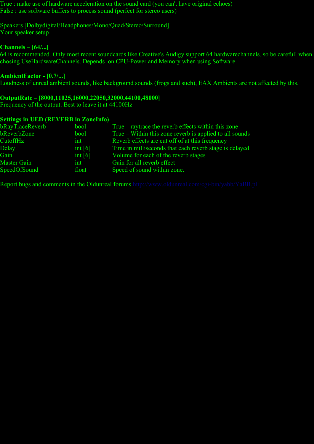True : make use of hardware acceleration on the sound card (you can't have original echoes) False : use software buffers to process sound (perfect for stereo users)

Speakers [Dolbydigital/Headphones/Mono/Quad/Stereo/Surround] Your speaker setup

#### **Channels – [64/...]**

64 is recommended. Only most recent soundcards like Creative's Audigy support 64 hardwarechannels, so be carefull when chosing UseHardwareChannels. Depends on CPU-Power and Memory when using Software.

#### **AmbientFactor - [0.7/...]**

Loudness of unreal ambient sounds, like background sounds (frogs and such), EAX Ambients are not affected by this.

#### **OutputRate – [8000,11025,16000,22050,32000,44100,48000]**

Frequency of the output. Best to leave it at 44100Hz

#### **Settings in UED (REVERB in ZoneInfo)**

| bRayTraceReverb    | bool      | True – raytrace the reverb effects within this zone     |
|--------------------|-----------|---------------------------------------------------------|
| bReverbZone        | bool      | True – Within this zone reverb is applied to all sounds |
| CutoffHz           | int       | Reverb effects are cut off of at this frequency         |
| Delay              | int $[6]$ | Time in milliseconds that each reverb stage is delayed  |
| Gain               | int $[6]$ | Volume for each of the reverb stages                    |
| <b>Master Gain</b> | int       | Gain for all reverb effect                              |
| SpeedOfSound       | float     | Speed of sound within zone.                             |

Report bugs and comments in the Oldunreal forums <http://www.oldunreal.com/cgi-bin/yabb/YaBB.pl>